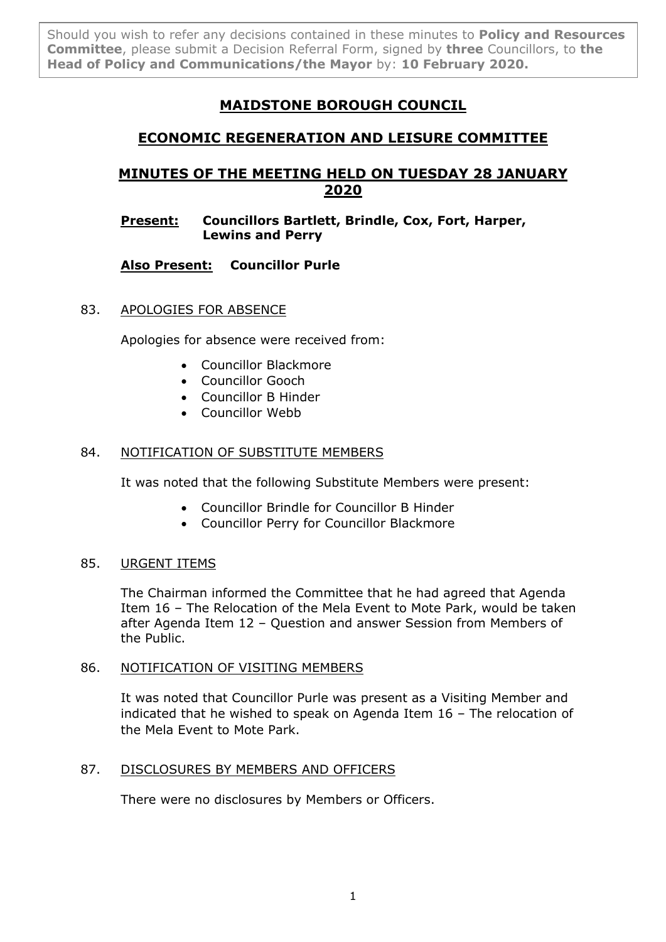Should you wish to refer any decisions contained in these minutes to **Policy and Resources Committee**, please submit a Decision Referral Form, signed by **three** Councillors, to **the Head of Policy and Communications/the Mayor** by: **10 February 2020.**

# **MAIDSTONE BOROUGH COUNCIL**

# **ECONOMIC REGENERATION AND LEISURE COMMITTEE**

# **MINUTES OF THE MEETING HELD ON TUESDAY 28 JANUARY 2020**

# **Present: Councillors Bartlett, Brindle, Cox, Fort, Harper, Lewins and Perry**

# **Also Present: Councillor Purle**

# 83. APOLOGIES FOR ABSENCE

Apologies for absence were received from:

- Councillor Blackmore
- Councillor Gooch
- Councillor B Hinder
- **Councillor Webb**

# 84. NOTIFICATION OF SUBSTITUTE MEMBERS

It was noted that the following Substitute Members were present:

- Councillor Brindle for Councillor B Hinder
- Councillor Perry for Councillor Blackmore

# 85. URGENT ITEMS

The Chairman informed the Committee that he had agreed that Agenda Item 16 – The Relocation of the Mela Event to Mote Park, would be taken after Agenda Item 12 – Question and answer Session from Members of the Public.

#### 86. NOTIFICATION OF VISITING MEMBERS

It was noted that Councillor Purle was present as a Visiting Member and indicated that he wished to speak on Agenda Item 16 – The relocation of the Mela Event to Mote Park.

# 87. DISCLOSURES BY MEMBERS AND OFFICERS

There were no disclosures by Members or Officers.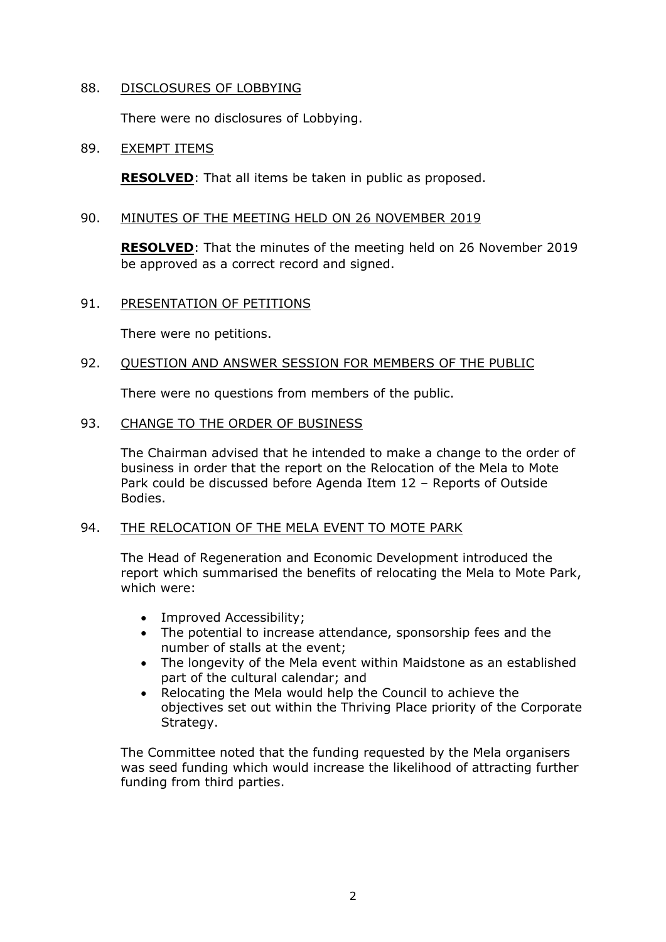#### 88. DISCLOSURES OF LOBBYING

There were no disclosures of Lobbying.

### 89. EXEMPT ITEMS

**RESOLVED**: That all items be taken in public as proposed.

### 90. MINUTES OF THE MEETING HELD ON 26 NOVEMBER 2019

**RESOLVED**: That the minutes of the meeting held on 26 November 2019 be approved as a correct record and signed.

## 91. PRESENTATION OF PETITIONS

There were no petitions.

## 92. QUESTION AND ANSWER SESSION FOR MEMBERS OF THE PUBLIC

There were no questions from members of the public.

## 93. CHANGE TO THE ORDER OF BUSINESS

The Chairman advised that he intended to make a change to the order of business in order that the report on the Relocation of the Mela to Mote Park could be discussed before Agenda Item 12 – Reports of Outside Bodies.

#### 94. THE RELOCATION OF THE MELA EVENT TO MOTE PARK

The Head of Regeneration and Economic Development introduced the report which summarised the benefits of relocating the Mela to Mote Park, which were:

- Improved Accessibility;
- The potential to increase attendance, sponsorship fees and the number of stalls at the event;
- The longevity of the Mela event within Maidstone as an established part of the cultural calendar; and
- Relocating the Mela would help the Council to achieve the objectives set out within the Thriving Place priority of the Corporate Strategy.

The Committee noted that the funding requested by the Mela organisers was seed funding which would increase the likelihood of attracting further funding from third parties.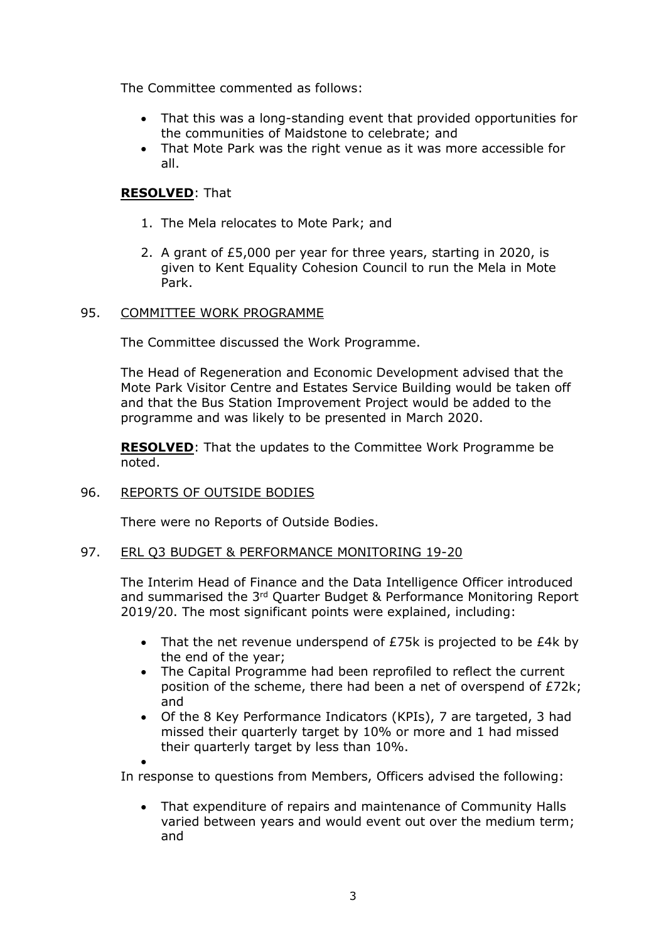The Committee commented as follows:

- That this was a long-standing event that provided opportunities for the communities of Maidstone to celebrate; and
- That Mote Park was the right venue as it was more accessible for all.

# **RESOLVED**: That

- 1. The Mela relocates to Mote Park; and
- 2. A grant of £5,000 per year for three years, starting in 2020, is given to Kent Equality Cohesion Council to run the Mela in Mote Park.

#### 95. COMMITTEE WORK PROGRAMME

The Committee discussed the Work Programme.

The Head of Regeneration and Economic Development advised that the Mote Park Visitor Centre and Estates Service Building would be taken off and that the Bus Station Improvement Project would be added to the programme and was likely to be presented in March 2020.

**RESOLVED**: That the updates to the Committee Work Programme be noted.

#### 96. REPORTS OF OUTSIDE BODIES

There were no Reports of Outside Bodies.

#### 97. ERL Q3 BUDGET & PERFORMANCE MONITORING 19-20

The Interim Head of Finance and the Data Intelligence Officer introduced and summarised the 3<sup>rd</sup> Quarter Budget & Performance Monitoring Report 2019/20. The most significant points were explained, including:

- That the net revenue underspend of £75k is projected to be £4k by the end of the year;
- The Capital Programme had been reprofiled to reflect the current position of the scheme, there had been a net of overspend of £72k; and
- Of the 8 Key Performance Indicators (KPIs), 7 are targeted, 3 had missed their quarterly target by 10% or more and 1 had missed their quarterly target by less than 10%.

 $\bullet$ 

In response to questions from Members, Officers advised the following:

 That expenditure of repairs and maintenance of Community Halls varied between years and would event out over the medium term; and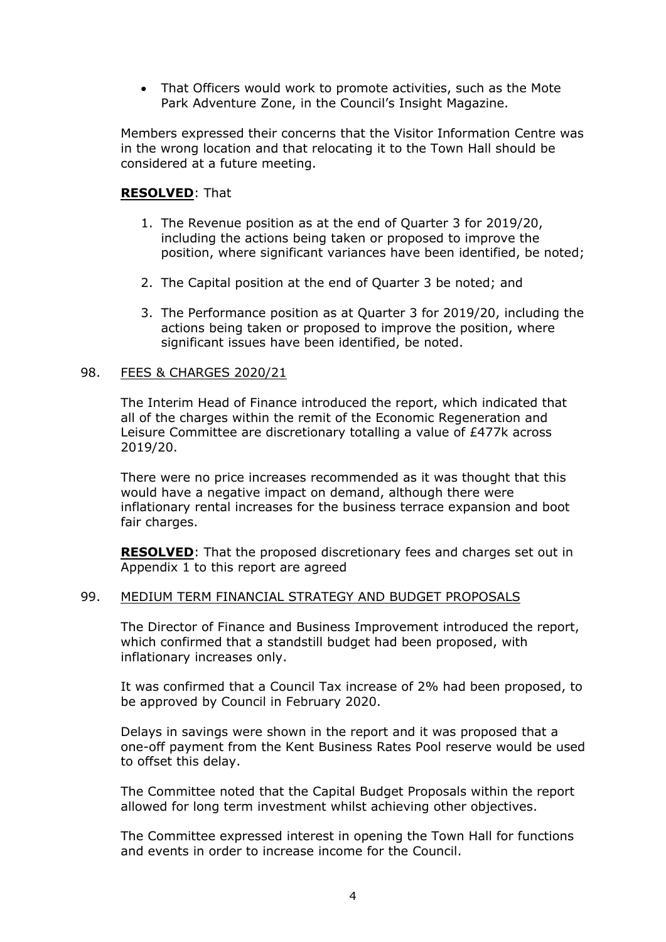• That Officers would work to promote activities, such as the Mote Park Adventure Zone, in the Council's Insight Magazine.

Members expressed their concerns that the Visitor Information Centre was in the wrong location and that relocating it to the Town Hall should be considered at a future meeting.

## **RESOLVED**: That

- 1. The Revenue position as at the end of Quarter 3 for 2019/20, including the actions being taken or proposed to improve the position, where significant variances have been identified, be noted;
- 2. The Capital position at the end of Quarter 3 be noted; and
- 3. The Performance position as at Quarter 3 for 2019/20, including the actions being taken or proposed to improve the position, where significant issues have been identified, be noted.

#### 98. FEES & CHARGES 2020/21

The Interim Head of Finance introduced the report, which indicated that all of the charges within the remit of the Economic Regeneration and Leisure Committee are discretionary totalling a value of £477k across 2019/20.

There were no price increases recommended as it was thought that this would have a negative impact on demand, although there were inflationary rental increases for the business terrace expansion and boot fair charges.

**RESOLVED**: That the proposed discretionary fees and charges set out in Appendix 1 to this report are agreed

## 99. MEDIUM TERM FINANCIAL STRATEGY AND BUDGET PROPOSALS

The Director of Finance and Business Improvement introduced the report, which confirmed that a standstill budget had been proposed, with inflationary increases only.

It was confirmed that a Council Tax increase of 2% had been proposed, to be approved by Council in February 2020.

Delays in savings were shown in the report and it was proposed that a one-off payment from the Kent Business Rates Pool reserve would be used to offset this delay.

The Committee noted that the Capital Budget Proposals within the report allowed for long term investment whilst achieving other objectives.

The Committee expressed interest in opening the Town Hall for functions and events in order to increase income for the Council.